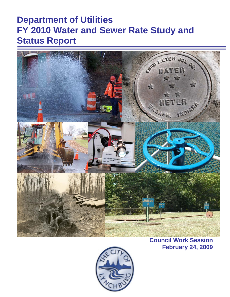# **Department of Utilities FY 2010 Water and Sewer Rate Study and Status Report**





**Council Work Session February 24, 2009**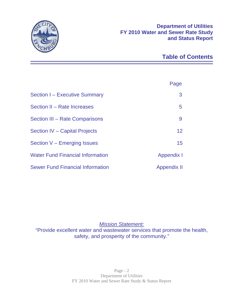



# **Table of Contents**

|                                         | Page        |
|-----------------------------------------|-------------|
| Section I – Executive Summary           | 3           |
| Section II - Rate Increases             | 5           |
| Section III – Rate Comparisons          | 9           |
| <b>Section IV - Capital Projects</b>    | 12          |
| Section V – Emerging Issues             | 15          |
| <b>Water Fund Financial Information</b> | Appendix I  |
| <b>Sewer Fund Financial Information</b> | Appendix II |
|                                         |             |

*Mission Statement:* 

"Provide excellent water and wastewater services that promote the health, safety, and prosperity of the community."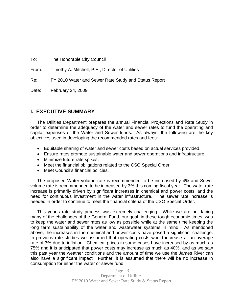To: The Honorable City Council

From: Timothy A. Mitchell, P.E., Director of Utilities

Re: FY 2010 Water and Sewer Rate Study and Status Report

Date: February 24, 2009

# **I. EXECUTIVE SUMMARY**

 The Utilities Department prepares the annual Financial Projections and Rate Study in order to determine the adequacy of the water and sewer rates to fund the operating and capital expenses of the Water and Sewer funds. As always, the following are the key objectives used in developing the recommended rates and fees:

\_\_\_\_\_\_\_\_\_\_\_\_\_\_\_\_\_\_\_\_\_\_\_\_\_\_\_\_\_\_\_\_\_\_\_\_\_\_\_\_\_\_\_\_\_\_\_\_\_\_\_\_\_\_\_\_\_\_\_\_\_\_\_\_\_\_\_\_\_\_\_\_

- Equitable sharing of water and sewer costs based on actual services provided.
- Ensure rates promote sustainable water and sewer operations and infrastructure.
- Minimize future rate spikes.
- Meet the financial obligations related to the CSO Special Order.
- Meet Council's financial policies.

The proposed Water volume rate is recommended to be increased by 4% and Sewer volume rate is recommended to be increased by 3% this coming fiscal year. The water rate increase is primarily driven by significant increases in chemical and power costs, and the need for continuous investment in the water infrastructure. The sewer rate increase is needed in order to continue to meet the financial criteria of the CSO Special Order.

This year's rate study process was extremely challenging. While we are not facing many of the challenges of the General Fund, our goal, in these tough economic times, was to keep the water and sewer rates as low as possible while at the same time keeping the long term sustainability of the water and wastewater systems in mind. As mentioned above, the increases in the chemical and power costs have posed a significant challenge. In previous rate studies we assumed that operating costs would increase at an average rate of 3% due to inflation. Chemical prices in some cases have increased by as much as 75% and it is anticipated that power costs may increase as much as 40%, and as we saw this past year the weather conditions and the amount of time we use the James River can also have a significant impact. Further, it is assumed that there will be no increase in consumption for either the water or sewer fund.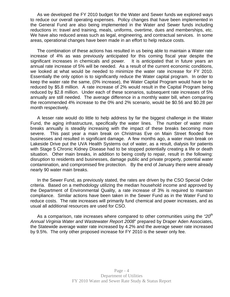As we developed the FY 2010 budget for the Water and Sewer funds we explored ways to reduce our overall operating expenses. Policy changes that have been implemented in the General Fund are also being implemented in the Water and Sewer funds including reductions in: travel and training, meals, uniforms, overtime, dues and memberships, etc. We have also reduced areas such as legal, engineering, and contractual services. In some areas, operational changes have been made in an effort to help reduce costs.

The combination of these actions has resulted in us being able to maintain a Water rate increase of 4% as was previously anticipated for this coming fiscal year despite the significant increases in chemicals and power. It is anticipated that in future years an annual rate increase of 5% will be needed. As a result of the current economic conditions, we looked at what would be needed to minimize the water rate increase for FY 2010. Essentially the only option is to significantly reduce the Water capital program. In order to keep the water rate the same, (0% increase), the Water Capital Program would have to be reduced by \$5.8 million. A rate increase of 2% would result in the Capital Program being reduced by \$2.8 million. Under each of these scenarios, subsequent rate increases of 5% annually are still needed. The average difference in a monthly water bill, when comparing the recommended 4% increase to the 0% and 2% scenario, would be \$0.56 and \$0.28 per month respectively.

A lesser rate would do little to help address by far the biggest challenge in the Water Fund, the aging infrastructure, specifically the water lines. The number of water main breaks annually is steadily increasing with the impact of these breaks becoming more severe. This past year a main break on Christmas Eve on Main Street flooded five businesses and resulted in significant damage. A few months ago, a water main break on Lakeside Drive put the UVA Health Systems out of water, as a result, dialysis for patients with Stage 5 Chronic Kidney Disease had to be stopped potentially creating a life or death situation. Other main breaks, in addition to being costly to repair, result in the following: disruption to residents and businesses, damage public and private property, potential water contamination, and compromised fire protection. By the end of January there were already nearly 90 water main breaks.

In the Sewer Fund, as previously stated, the rates are driven by the CSO Special Order criteria. Based on a methodology utilizing the median household income and approved by the Department of Environmental Quality, a rate increase of 3% is required to maintain compliance. Similar actions have been taken in the Sewer Fund as in the Water Fund to reduce costs. The rate increases will primarily fund chemical and power increases, and as usual all additional resources are used for CSO.

As a comparison, rate increases where compared to other communities using the *"20th Annual Virginia Water and Wastewater Report 2008*" prepared by Draper Aden Associates, the Statewide average water rate increased by 4.2% and the average sewer rate increased by 9.5%. The only other proposed increase for FY 2010 is the sewer only fee.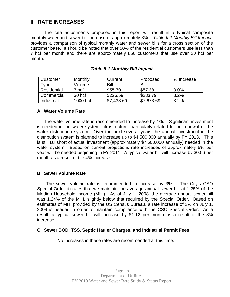# **II. RATE INCREASES**

The rate adjustments proposed in this report will result in a typical composite monthly water and sewer bill increase of approximately 3%. *"Table II-1 Monthly Bill Impact"* provides a comparison of typical monthly water and sewer bills for a cross section of the customer base. It should be noted that over 50% of the residential customers use less than 7 hcf per month and there are approximately 850 customers that use over 30 hcf per month.

| Customer          | Monthly  | Current    | Proposed   | ⊩% Increase |
|-------------------|----------|------------|------------|-------------|
| <b>Type</b>       | Volume   | Bill       | Bill       |             |
| Residential       | 7 hcf    | \$55.70    | \$57.38    | $3.0\%$     |
| Commercial        | 30 hcf   | \$226.59   | \$233.79   | 3.2%        |
| <b>Industrial</b> | 1000 hcf | \$7,433.69 | \$7,673.69 | 3.2%        |

# *Table II-1 Monthly Bill Impact*

# **A. Water Volume Rate**

 The water volume rate is recommended to increase by 4%. Significant investment is needed in the water system infrastructure, particularly related to the renewal of the water distribution system. Over the next several years the annual investment in the distribution system is planned to increase up to \$4,500,000 annually by FY 2013. This is still far short of actual investment (approximately \$7,500,000 annually) needed in the water system. Based on current projections rate increases of approximately 5% per year will be needed beginning in FY 2011. A typical water bill will increase by \$0.56 per month as a result of the 4% increase.

# **B. Sewer Volume Rate**

The sewer volume rate is recommended to increase by 3%. The City's CSO Special Order dictates that we maintain the average annual sewer bill at 1.25% of the Median Household Income (MHI). As of July 1, 2008, the average annual sewer bill was 1.24% of the MHI, slightly below that required by the Special Order. Based on estimates of MHI provided by the US Census Bureau, a rate increase of 3% on July 1, 2009 is needed in order to maintain compliance with the CSO Special Order. As a result, a typical sewer bill will increase by \$1.12 per month as a result of the 3% increase.

# **C. Sewer BOD, TSS, Septic Hauler Charges, and Industrial Permit Fees**

No increases in these rates are recommended at this time.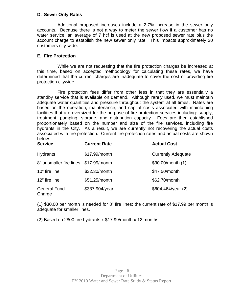# **D. Sewer Only Rates**

Additional proposed increases include a 2.7% increase in the sewer only accounts. Because there is not a way to meter the sewer flow if a customer has no water service, an average of 7 hcf is used at the new proposed sewer rate plus the account charge to establish the new sewer only rate. This impacts approximately 20 customers city-wide.

# **E. Fire Protection**

While we are not requesting that the fire protection charges be increased at this time, based on accepted methodology for calculating these rates, we have determined that the current charges are inadequate to cover the cost of providing fire protection citywide.

Fire protection fees differ from other fees in that they are essentially a standby service that is available on demand. Although rarely used, we must maintain adequate water quantities and pressure throughout the system at all times. Rates are based on the operation, maintenance, and capital costs associated with maintaining facilities that are oversized for the purpose of fire protection services including: supply, treatment, pumping, storage, and distribution capacity. Fees are then established proportionately based on the number and size of the fire services, including fire hydrants in the City. As a result, we are currently not recovering the actual costs associated with fire protection. Current fire protection rates and actual costs are shown below:

| <b>Service</b>                | <b>Current Rate</b> | <b>Actual Cost</b>        |
|-------------------------------|---------------------|---------------------------|
| <b>Hydrants</b>               | \$17.99/month       | <b>Currently Adequate</b> |
| 8" or smaller fire lines      | \$17.99/month       | $$30.00/m$ onth $(1)$     |
| 10" fire line                 | \$32.30/month       | \$47.50/month             |
| 12" fire line                 | \$51.25/month       | \$62.70/month             |
| <b>General Fund</b><br>Charge | \$337,904/year      | \$604,464/year (2)        |

(1) \$30.00 per month is needed for 8" fire lines; the current rate of \$17.99 per month is adequate for smaller lines.

(2) Based on 2800 fire hydrants x \$17.99/month x 12 months.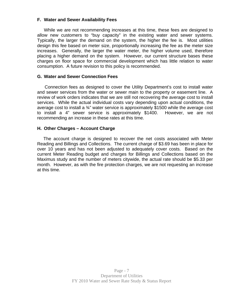## **F. Water and Sewer Availability Fees**

While we are not recommending increases at this time, these fees are designed to allow new customers to "buy capacity" in the existing water and sewer systems. Typically, the larger the demand on the system, the higher the fee is. Most utilities design this fee based on meter size, proportionally increasing the fee as the meter size increases. Generally, the larger the water meter, the higher volume used, therefore placing a higher demand on the system. However, our current structure bases these charges on floor space for commercial development which has little relation to water consumption. A future revision to this policy is recommended.

## **G. Water and Sewer Connection Fees**

Connection fees as designed to cover the Utility Department's cost to install water and sewer services from the water or sewer main to the property or easement line. A review of work orders indicates that we are still not recovering the average cost to install services. While the actual individual costs vary depending upon actual conditions, the average cost to install a ¾" water service is approximately \$1500 while the average cost to install a 4" sewer service is approximately \$1400. However, we are not recommending an increase in these rates at this time.

# **H. Other Charges – Account Charge**

 The account charge is designed to recover the net costs associated with Meter Reading and Billings and Collections. The current charge of \$3.69 has been in place for over 10 years and has not been adjusted to adequately cover costs. Based on the current Meter Reading budget and charges for Billings and Collections based on the Maximus study and the number of meters citywide, the actual rate should be \$5.33 per month.However, as with the fire protection charges, we are not requesting an increase at this time.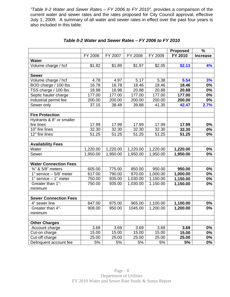"Table II-2 Water and Sewer Rates - FY 2006 to FY 2010", provides a comparison of the current water and sewer rates and the rates proposed for City Council approval, effective July 1, 2009. A summary of all water and sewer rates in effect over the past four years is also included in this table.

|                              |          |          |          |          | <b>Proposed</b> | $\frac{9}{6}$   |
|------------------------------|----------|----------|----------|----------|-----------------|-----------------|
|                              | FY 2006  | FY 2007  | FY 2008  | FY 2009  | FY 2010         | <b>Increase</b> |
| <b>Water</b>                 |          |          |          |          |                 |                 |
| Volume charge / hcf          | \$1.82   | \$1.89   | \$1.97   | \$2.05   | \$2.13          | 4%              |
|                              |          |          |          |          |                 |                 |
| <b>Sewer</b>                 |          |          |          |          |                 |                 |
| Volume charge / hcf          | 4.78     | 4.97     | 5.17     | 5.38     | 5.54            | 3%              |
| BOD charge / 100 lbs         | 16.78    | 16.78    | 18.46    | 18.46    | 18.46           | 0%              |
| TSS charge / 100 lbs.        | 18.98    | 18.98    | 20.88    | 20.88    | 20.88           | 0%              |
| Septic hauler charge         | 177.00   | 177.00   | 177.00   | 177.00   | 177.00          | 0%              |
| Industrial permit fee        | 200.00   | 200.00   | 200.00   | 200.00   | 200.00          | $0\%$           |
| Sewer only                   | 37.15    | 38.48    | 39.88    | 41.35    | 42.47           | 2.7%            |
|                              |          |          |          |          |                 |                 |
| <b>Fire Protection</b>       |          |          |          |          |                 |                 |
| Hydrants & 8" or smaller     |          |          |          |          |                 |                 |
| fire lines                   | 17.99    | 17.99    | 17.99    | 17.99    | 17.99           | $0\%$           |
| 10" fire lines               | 32.30    | 32.30    | 32.30    | 32.30    | 32.30           | 0%              |
| $\overline{12}$ " fire lines | 51.25    | 51.25    | 51.25    | 51.25    | 51.25           | 0%              |
|                              |          |          |          |          |                 |                 |
| <b>Availability Fees</b>     |          |          |          |          |                 |                 |
| Water                        | 1,220.00 | 1,220.00 | 1,220.00 | 1,220.00 | 1,220.00        | $0\%$           |
| Sewer                        | 1,950.00 | 1,950.00 | 1,950.00 | 1,950.00 | 1,950.00        | 0%              |
|                              |          |          |          |          |                 |                 |
| <b>Water Connection Fees</b> |          |          |          |          |                 |                 |
| 3/4" & 5/8" meters           | 605.00   | 775.00   | 850.00   | 950.00   | 950.00          | 0%              |
| 1" service $-5/8$ ' meter    | 617.00   | 790.00   | 870.00   | 1,000.00 | 1,000.00        | 0%              |
| 1" service $-1$ " meter      | 750.00   | 935.00   | 1,030.00 | 1,150.00 | 1,150.00        | 0%              |
| Greater than 1"-             | 750.00   | 935.00   | 1,030.00 | 1,150.00 | 1,150.00        | 0%              |
| minimum                      |          |          |          |          |                 |                 |
|                              |          |          |          |          |                 |                 |
| <b>Sewer Connection Fees</b> |          |          |          |          |                 |                 |
| 4" sewer line                | 847.00   | 875.00   | 965.00   | 1,100.00 | 1,100.00        | $0\%$           |
| Greater than 4"-             | 908.00   | 950.00   | 1045.00  | 1,200.00 | 1,200.00        | $0\%$           |
| minimum                      |          |          |          |          |                 |                 |
|                              |          |          |          |          |                 |                 |
| <b>Other Charges</b>         |          |          |          |          |                 |                 |
| Account charge               | 3.69     | 3.69     | 3.69     | 3.69     | 3.69            | 0%              |
| Cut-on charge                | 15.00    | 15.00    | 15.00    | 15.00    | 15.00           | 0%              |
| Cut-off charge               | 25.00    | 25.00    | 25.00    | 25.00    | 25.00           | 0%              |
| Delinquent account fee       | 5%       | 5%       | 5%       | 5%       | 5%              | $0\%$           |

# *Table II-2 Water and Sewer Rates – FY 2006 to FY 2010*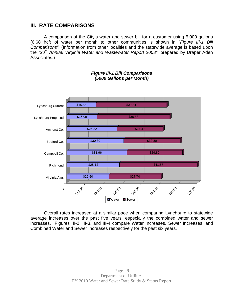# **III. RATE COMPARISONS**

A comparison of the City's water and sewer bill for a customer using 5,000 gallons (6.68 hcf) of water per month to other communities is shown in *"Figure III-1 Bill Comparisons".* (Information from other localities and the statewide average is based upon the "20<sup>th</sup> Annual Virginia Water and Wastewater Report 2008", prepared by Draper Aden Associates.)



*Figure III-1 Bill Comparisons (5000 Gallons per Month)* 

Overall rates increased at a similar pace when comparing Lynchburg to statewide average increases over the past five years, especially the combined water and sewer increases. Figures III-2, III-3, and III-4 compare Water Increases, Sewer Increases, and Combined Water and Sewer Increases respectively for the past six years.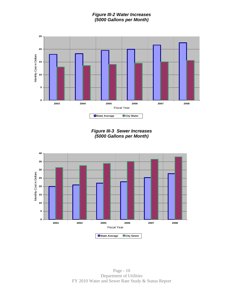*Figure III-2 Water Increases (5000 Gallons per Month)* 



*Figure III-3 Sewer Increases (5000 Gallons per Month)* 

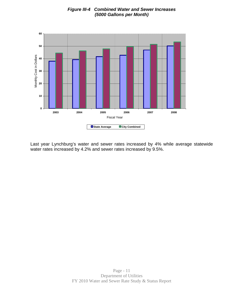

# *Figure III-4 Combined Water and Sewer Increases (5000 Gallons per Month)*

Last year Lynchburg's water and sewer rates increased by 4% while average statewide water rates increased by 4.2% and sewer rates increased by 9.5%.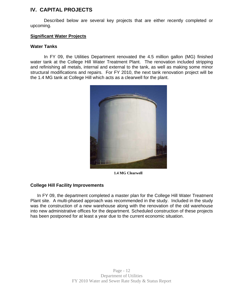# **IV. CAPITAL PROJECTS**

Described below are several key projects that are either recently completed or upcoming.

# **Significant Water Projects**

# **Water Tanks**

In FY 09, the Utilities Department renovated the 4.5 million gallon (MG) finished water tank at the College Hill Water Treatment Plant. The renovation included stripping and refinishing all metals, internal and external to the tank, as well as making some minor structural modifications and repairs. For FY 2010, the next tank renovation project will be the 1.4 MG tank at College Hill which acts as a clearwell for the plant.



 **1.4 MG Clearwell** 

# **College Hill Facility Improvements**

In FY 09, the department completed a master plan for the College Hill Water Treatment Plant site. A multi-phased approach was recommended in the study. Included in the study was the construction of a new warehouse along with the renovation of the old warehouse into new administrative offices for the department. Scheduled construction of these projects has been postponed for at least a year due to the current economic situation.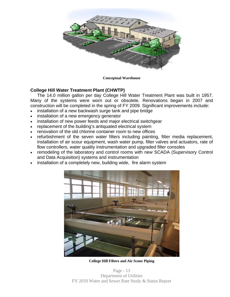

**Conceptual Warehouse**

# **College Hill Water Treatment Plant (CHWTP)**

The 14.0 million gallon per day College Hill Water Treatment Plant was built in 1957. Many of the systems were worn out or obsolete. Renovations began in 2007 and construction will be completed in the spring of FY 2009. Significant improvements include:

- installation of a new backwash surge tank and pipe bridge
- installation of a new emergency generator
- installation of new power feeds and major electrical switchgear
- replacement of the building's antiquated electrical system
- renovation of the old chlorine container room to new offices
- refurbishment of the seven water filters including painting, filter media replacement, installation of air scour equipment, wash water pump, filter valves and actuators, rate of flow controllers, water quality instrumentation and upgraded filter consoles
- remodeling of the laboratory and control rooms with new SCADA (Supervisory Control and Data Acquisition) systems and instrumentation
- installation of a completely new, building wide, fire alarm system



**College Hill Filters and Air Scour Piping** 

Page - 13 Department of Utilities FY 2010 Water and Sewer Rate Study & Status Report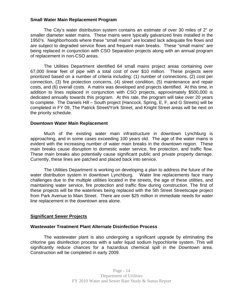## **Small Water Main Replacement Program**

The City's water distribution system contains an estimate of over 30 miles of 2" or smaller diameter water mains. These mains were typically galvanized lines installed in the 1950's. Neighborhoods where these "small mains" are located lack adequate fire flows and are subject to degraded service flows and frequent main breaks. These "small mains" are being replaced in conjunction with CSO Separation projects along with an annual program of replacement in non-CSO areas.

The Utilities Department identified 64 small mains project areas containing over 67,000 linear feet of pipe with a total cost of over \$10 million. These projects were prioritized based on a number of criteria including: (1) number of connections, (2) cost per connection, (3) fire protection concerns, (4) street condition, (5) maintenance and repair costs, and (6) overall costs. A matrix was developed and projects identified. At this time, in addition to lines replaced in conjunction with CSO projects, approximately \$500,000 is dedicated annually towards this program. At this rate, the program will take over 20 years to complete. The Daniels Hill – South project (Hancock, Spring, E, F, and G Streets) will be completed in FY 09, The Patrick Street/York Street, and Knight Street areas will be next on the priority schedule.

#### **Downtown Water Main Replacement**

Much of the existing water main infrastructure in downtown Lynchburg is approaching, and in some cases exceeding 100 years old. The age of the water mains is evident with the increasing number of water main breaks in the downtown region. These main breaks cause disruption to domestic water service, fire protection, and traffic flow. These main breaks also potentially cause significant public and private property damage. Currently, these lines are patched and placed back into service.

The Utilities Department is working on developing a plan to address the future of the water distribution system in downtown Lynchburg. Water line replacements face many challenges due to the multiple utilities located in the streets, the age of these utilities, and maintaining water service, fire protection and traffic flow during construction. The first of these projects will be the waterlines being replaced with the 5th Street Streetscape project from Park Avenue to Main Street. There are over \$25 million in immediate needs for water line replacement in the downtown area alone.

# **Significant Sewer Projects**

# **Wastewater Treatment Plant Alternate Disinfection Process**

The wastewater plant is also undergoing a significant upgrade by eliminating the chlorine gas disinfection process with a safer liquid sodium hypochlorite system. This will significantly reduce chances for a hazardous chemical spill in the Downtown area. Construction will be completed in early 2009.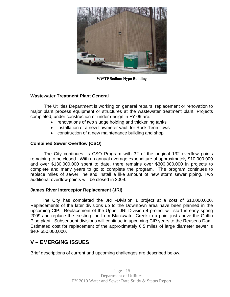

**WWTP Sodium Hypo Building** 

## **Wastewater Treatment Plant General**

The Utilities Department is working on general repairs, replacement or renovation to major plant process equipment or structures at the wastewater treatment plant. Projects completed; under construction or under design in FY 09 are:

- renovations of two sludge holding and thickening tanks
- installation of a new flowmeter vault for Rock Tenn flows
- construction of a new maintenance building and shop

# **Combined Sewer Overflow (CSO)**

 The City continues its CSO Program with 32 of the original 132 overflow points remaining to be closed. With an annual average expenditure of approximately \$10,000,000 and over \$130,000,000 spent to date, there remains over \$300,000,000 in projects to complete and many years to go to complete the program. The program continues to replace miles of sewer line and install a like amount of new storm sewer piping. Two additional overflow points will be closed in 2009.

#### **James River Interceptor Replacement (JRI)**

 The City has completed the JRI -Division 1 project at a cost of \$10,000,000. Replacements of the later divisions up to the Downtown area have been planned in the upcoming CIP. Replacement of the Upper JRI Division 4 project will start in early spring 2009 and replace the existing line from Blackwater Creek to a point just above the Griffin Pipe plant. Subsequent divisions will continue in upcoming CIP years to the Reusens Dam. Estimated cost for replacement of the approximately 6.5 miles of large diameter sewer is \$40- \$50,000,000.

# **V – EMERGING ISSUES**

Brief descriptions of current and upcoming challenges are described below.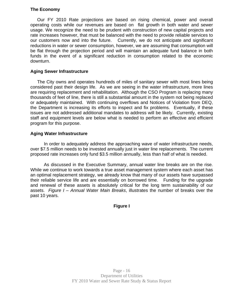## **The Economy**

Our FY 2010 Rate projections are based on rising chemical, power and overall operating costs while our revenues are based on flat growth in both water and sewer usage. We recognize the need to be prudent with construction of new capital projects and rate increases however, that must be balanced with the need to provide reliable services to our customers now and into the future. Currently, we do not anticipate and significant reductions in water or sewer consumption, however, we are assuming that consumption will be flat through the projection period and will maintain an adequate fund balance in both funds in the event of a significant reduction in consumption related to the economic downturn.

## **Aging Sewer Infrastructure**

 The City owns and operates hundreds of miles of sanitary sewer with most lines being considered past their design life. As we are seeing in the water infrastructure, more lines are requiring replacement and rehabilitation. Although the CSO Program is replacing many thousands of feet of line, there is still a substantial amount in the system not being replaced or adequately maintained. With continuing overflows and Notices of Violation from DEQ, the Department is increasing its efforts to inspect and fix problems. Eventually, if these issues are not addressed additional mandates to address will be likely. Currently, existing staff and equipment levels are below what is needed to perform an effective and efficient program for this purpose.

# **Aging Water Infrastructure**

In order to adequately address the approaching wave of water infrastructure needs, over \$7.5 million needs to be invested annually just in water line replacements. The current proposed rate increases only fund \$3.5 million annually, less than half of what is needed.

As discussed in the Executive Summary, annual water line breaks are on the rise. While we continue to work towards a true asset management system where each asset has an optimal replacement strategy, we already know that many of our assets have surpassed their reliable service life and are essentially on borrowed time. Funding for the upgrade and renewal of these assets is absolutely critical for the long term sustainability of our assets. *Figure I – Annual Water Main Breaks*, illustrates the number of breaks over the past 10 years.

**Figure I**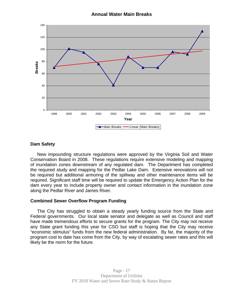



# **Dam Safety**

New impounding structure regulations were approved by the Virginia Soil and Water Conservation Board in 2008. These regulations require extensive modeling and mapping of inundation zones downstream of any regulated dam. The Department has completed the required study and mapping for the Pedlar Lake Dam. Extensive renovations will not be required but additional armoring of the spillway and other maintenance items will be required. Significant staff time will be required to update the Emergency Action Plan for the dam every year to include property owner and contact information in the inundation zone along the Pedlar River and James River.

# **Combined Sewer Overflow Program Funding**

The City has struggled to obtain a steady yearly funding source from the State and Federal governments. Our local state senator and delegate as well as Council and staff have made tremendous efforts to secure grants for the program. The City may not receive any State grant funding this year for CSO but staff is hoping that the City may receive "economic stimulus" funds from the new federal administration. By far, the majority of the program cost to date has come from the City, by way of escalating sewer rates and this will likely be the norm for the future.